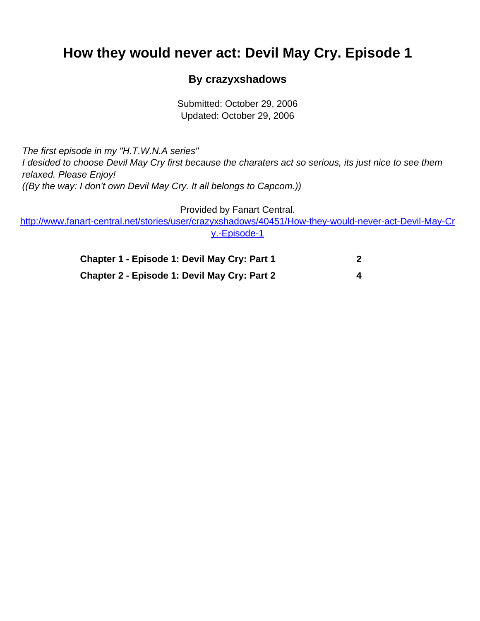## <span id="page-0-0"></span>**How they would never act: Devil May Cry. Episode 1**

## **By crazyxshadows**

Submitted: October 29, 2006 Updated: October 29, 2006

The first episode in my "H.T.W.N.A series" I desided to choose Devil May Cry first because the charaters act so serious, its just nice to see them relaxed. Please Enjoy! ((By the way: I don't own Devil May Cry. It all belongs to Capcom.))

Provided by Fanart Central.

[http://www.fanart-central.net/stories/user/crazyxshadows/40451/How-they-would-never-act-Devil-May-Cr](#page-0-0) [y.-Episode-1](#page-0-0)

| Chapter 1 - Episode 1: Devil May Cry: Part 1 |  |
|----------------------------------------------|--|
| Chapter 2 - Episode 1: Devil May Cry: Part 2 |  |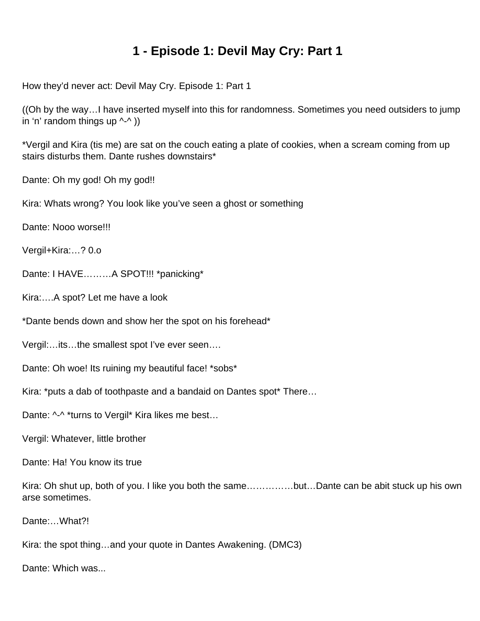## **1 - Episode 1: Devil May Cry: Part 1**

<span id="page-1-0"></span>How they'd never act: Devil May Cry. Episode 1: Part 1

((Oh by the way…I have inserted myself into this for randomness. Sometimes you need outsiders to jump in 'n' random things up  $\wedge$ - $\wedge$ ))

\*Vergil and Kira (tis me) are sat on the couch eating a plate of cookies, when a scream coming from up stairs disturbs them. Dante rushes downstairs\*

Dante: Oh my god! Oh my god!!

Kira: Whats wrong? You look like you've seen a ghost or something

Dante: Nooo worse!!!

Vergil+Kira:…? 0.o

Dante: I HAVE………A SPOT!!! \*panicking\*

Kira:….A spot? Let me have a look

\*Dante bends down and show her the spot on his forehead\*

Vergil:…its…the smallest spot I've ever seen….

Dante: Oh woe! Its ruining my beautiful face! \*sobs\*

Kira: \*puts a dab of toothpaste and a bandaid on Dantes spot\* There…

Dante: ^-^ \*turns to Vergil\* Kira likes me best...

Vergil: Whatever, little brother

Dante: Ha! You know its true

Kira: Oh shut up, both of you. I like you both the same……………but…Dante can be abit stuck up his own arse sometimes.

Dante:…What?!

Kira: the spot thing…and your quote in Dantes Awakening. (DMC3)

Dante: Which was...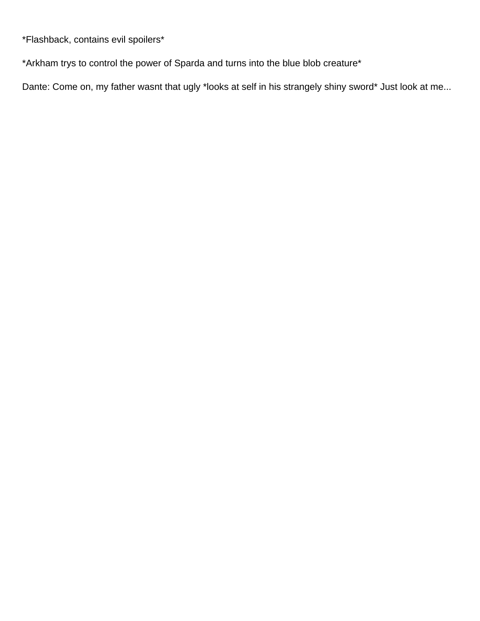\*Flashback, contains evil spoilers\*

\*Arkham trys to control the power of Sparda and turns into the blue blob creature\*

Dante: Come on, my father wasnt that ugly \*looks at self in his strangely shiny sword\* Just look at me...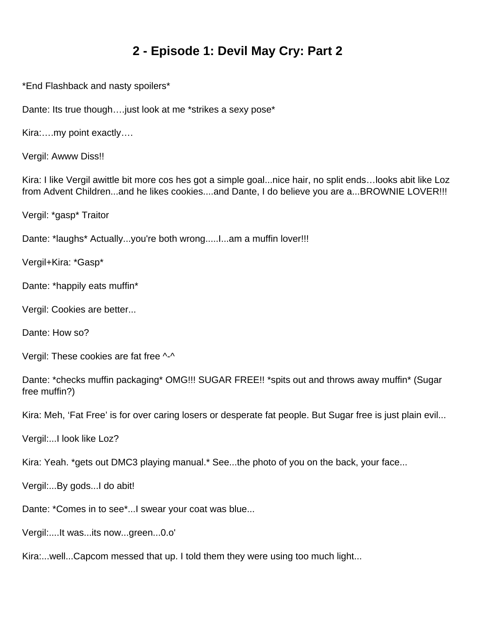## **2 - Episode 1: Devil May Cry: Part 2**

<span id="page-3-0"></span>\*End Flashback and nasty spoilers\*

Dante: Its true though.... just look at me \*strikes a sexy pose\*

Kira:….my point exactly….

Vergil: Awww Diss!!

Kira: I like Vergil awittle bit more cos hes got a simple goal...nice hair, no split ends…looks abit like Loz from Advent Children...and he likes cookies....and Dante, I do believe you are a...BROWNIE LOVER!!!

Vergil: \*gasp\* Traitor

Dante: \*laughs\* Actually...you're both wrong.....l...am a muffin lover!!!

Vergil+Kira: \*Gasp\*

Dante: \*happily eats muffin\*

Vergil: Cookies are better...

Dante: How so?

Vergil: These cookies are fat free ^-^

Dante: \*checks muffin packaging\* OMG!!! SUGAR FREE!! \*spits out and throws away muffin\* (Sugar free muffin?)

Kira: Meh, 'Fat Free' is for over caring losers or desperate fat people. But Sugar free is just plain evil...

Vergil:...I look like Loz?

Kira: Yeah. \*gets out DMC3 playing manual.\* See...the photo of you on the back, your face...

Vergil:...By gods...I do abit!

Dante: \*Comes in to see\*...I swear your coat was blue...

Vergil:....It was...its now...green...0.o'

Kira:...well...Capcom messed that up. I told them they were using too much light...